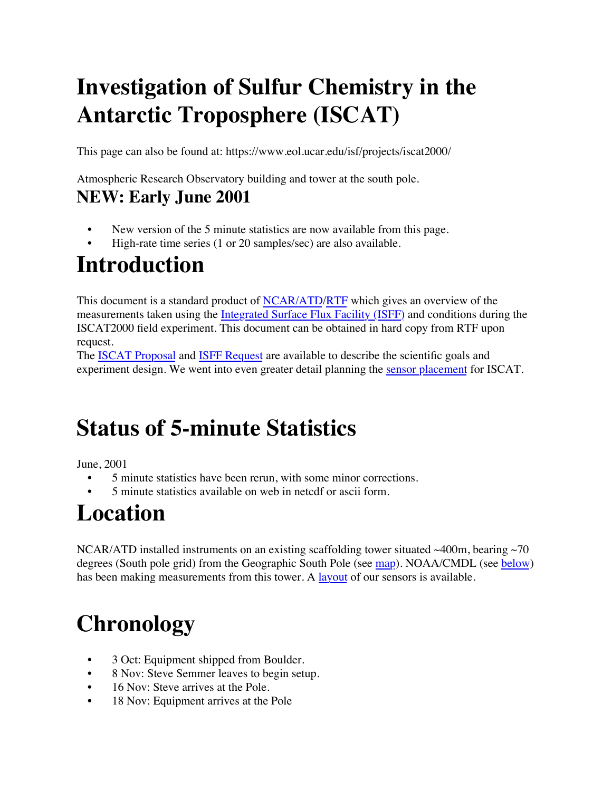# **Investigation of Sulfur Chemistry in the Antarctic Troposphere (ISCAT)**

This page can also be found at: <https://www.eol.ucar.edu/isf/projects/iscat2000/>

Atmospheric Research Observatory building and tower at the south pole.

#### **NEW: Early June 2001**

- New version of the 5 minute statistics are now available from this page.
- High-rate time series (1 or 20 samples/sec) are also available.

#### **Introduction**

This document is a standard product of [NCAR/ATD](http://www.atd.ucar.edu/)/[RTF](http://www.atd.ucar.edu/rtf/sssf_home.html) which gives an overview of the measurements taken using the [Integrated Surface Flux Facility \(ISFF\)](http://www.atd.ucar.edu/rtf/facilities/isff/) and conditions during the ISCAT2000 field experiment. This document can be obtained in hard copy from RTF upon request.

The **ISCAT Proposal** and **[ISFF Request](http://www.atd.ucar.edu/dir_off/OFAP/Apr00/Requests/r_ISCATisff.pdf)** are available to describe the scientific goals and experiment design. We went into even greater detail planning the [sensor placement](https://www.eol.ucar.edu/isf/projects/iscat2000/design.html) for ISCAT.

### **Status of 5-minute Statistics**

June, 2001

- 5 minute statistics have been rerun, with some minor corrections.
- 5 minute statistics available on web in netcdf or ascii form.

## **Location**

NCAR/ATD installed instruments on an existing scaffolding tower situated  $\sim$ 400m, bearing  $\sim$ 70 degrees (South pole grid) from the Geographic South Pole (see [map\)](https://www.eol.ucar.edu/isf/projects/iscat2000/map.jpg). NOAA/CMDL (see [below](https://www.eol.ucar.edu/isf/projects/iscat2000/report.shtml#OData)) has been making measurements from this tower. A [layout](https://www.eol.ucar.edu/isf/projects/iscat2000/tower.gif) of our sensors is available.

# **Chronology**

- 3 Oct: Equipment shipped from Boulder.
- 8 Nov: Steve Semmer leaves to begin setup.
- 16 Nov: Steve arrives at the Pole.
- 18 Nov: Equipment arrives at the Pole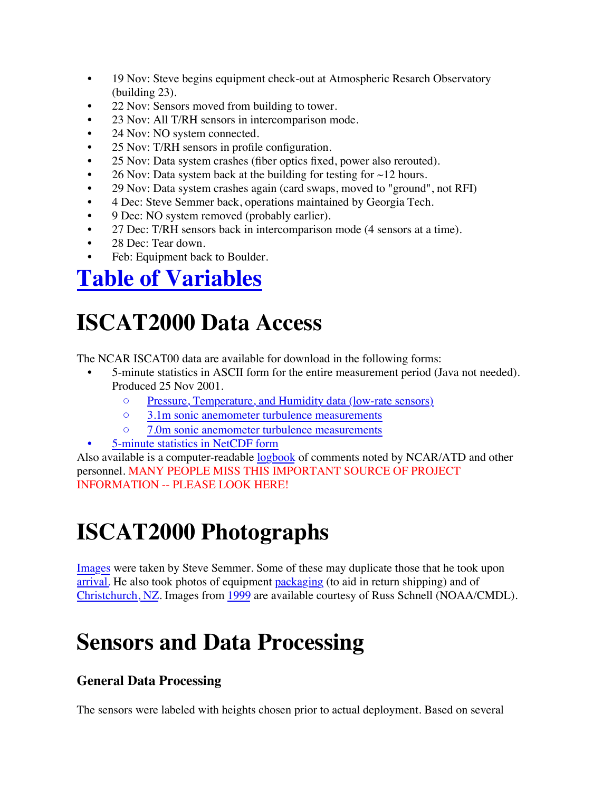- 19 Nov: Steve begins equipment check-out at Atmospheric Resarch Observatory (building 23).
- 22 Nov: Sensors moved from building to tower.
- 23 Nov: All T/RH sensors in intercomparison mode.
- 24 Nov: NO system connected.
- 25 Nov: T/RH sensors in profile configuration.
- 25 Nov: Data system crashes (fiber optics fixed, power also rerouted).
- 26 Nov: Data system back at the building for testing for  $\sim$ 12 hours.
- 29 Nov: Data system crashes again (card swaps, moved to "ground", not RFI)
- 4 Dec: Steve Semmer back, operations maintained by Georgia Tech.
- 9 Dec: NO system removed (probably earlier).
- 27 Dec: T/RH sensors back in intercomparison mode (4 sensors at a time).
- 28 Dec: Tear down.
- Feb: Equipment back to Boulder.

#### **[Table of Variables](https://www.eol.ucar.edu/isf/projects/iscat2000/variables.shtml)**

### **ISCAT2000 Data Access**

The NCAR ISCAT00 data are available for download in the following forms:

- 5-minute statistics in ASCII form for the entire measurement period (Java not needed). Produced 25 Nov 2001.
	- [Pressure, Temperature, and Humidity data \(low-rate sensors\)](https://www.eol.ucar.edu/isf/projects/iscat2000/data/tpq.txt)
	- [3.1m sonic anemometer turbulence measurements](https://www.eol.ucar.edu/isf/projects/iscat2000/data/3m.txt)
	- [7.0m sonic anemometer turbulence measurements](https://www.eol.ucar.edu/isf/projects/iscat2000/data/7m.txt)
	- [5-minute statistics in NetCDF form](ftp://ftp.eol.ucar.edu/pub/archive/isff/projects/iscat2000/netcdf)

Also available is a computer-readable [logbook](https://www.eol.ucar.edu/isf/projects/iscat2000/logbook/) of comments noted by NCAR/ATD and other personnel. MANY PEOPLE MISS THIS IMPORTANT SOURCE OF PROJECT INFORMATION -- PLEASE LOOK HERE!

## **ISCAT2000 Photographs**

[Images](https://www.eol.ucar.edu/isf/projects/iscat2000/photos/iscat/) were taken by Steve Semmer. Some of these may duplicate those that he took upon [arrival.](https://www.eol.ucar.edu/isf/projects/iscat2000/photos/iscat.old/) He also took photos of equipment [packaging](https://www.eol.ucar.edu/isf/projects/iscat2000/photos/packaging/) (to aid in return shipping) and of [Christchurch, NZ](https://www.eol.ucar.edu/isf/projects/iscat2000/photos/christchurch/). Images from [1999](https://www.eol.ucar.edu/isf/projects/iscat2000/photos/preiscat/) are available courtesy of Russ Schnell (NOAA/CMDL).

### **Sensors and Data Processing**

#### **General Data Processing**

The sensors were labeled with heights chosen prior to actual deployment. Based on several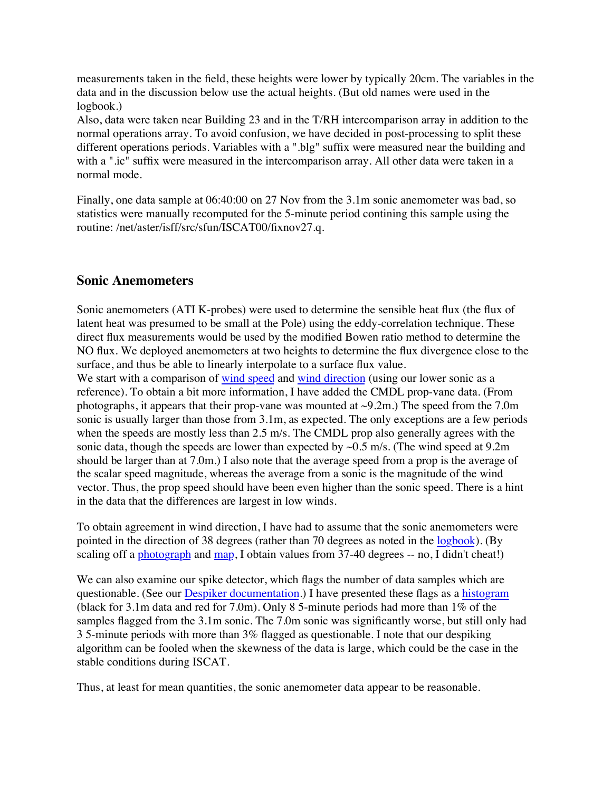measurements taken in the field, these heights were lower by typically 20cm. The variables in the data and in the discussion below use the actual heights. (But old names were used in the logbook.)

Also, data were taken near Building 23 and in the T/RH intercomparison array in addition to the normal operations array. To avoid confusion, we have decided in post-processing to split these different operations periods. Variables with a ".blg" suffix were measured near the building and with a ".ic" suffix were measured in the intercomparison array. All other data were taken in a normal mode.

Finally, one data sample at 06:40:00 on 27 Nov from the 3.1m sonic anemometer was bad, so statistics were manually recomputed for the 5-minute period contining this sample using the routine: /net/aster/isff/src/sfun/ISCAT00/fixnov27.q.

#### **Sonic Anemometers**

Sonic anemometers (ATI K-probes) were used to determine the sensible heat flux (the flux of latent heat was presumed to be small at the Pole) using the eddy-correlation technique. These direct flux measurements would be used by the modified Bowen ratio method to determine the NO flux. We deployed anemometers at two heights to determine the flux divergence close to the surface, and thus be able to linearly interpolate to a surface flux value.

We start with a comparison of [wind speed](https://www.eol.ucar.edu/isf/projects/iscat2000/plots/sdiff.gif) and [wind direction](https://www.eol.ucar.edu/isf/projects/iscat2000/plots/ddiff.gif) (using our lower sonic as a reference). To obtain a bit more information, I have added the CMDL prop-vane data. (From photographs, it appears that their prop-vane was mounted at  $\sim$ 9.2m.) The speed from the 7.0m sonic is usually larger than those from 3.1m, as expected. The only exceptions are a few periods when the speeds are mostly less than 2.5 m/s. The CMDL prop also generally agrees with the sonic data, though the speeds are lower than expected by  $\sim 0.5$  m/s. (The wind speed at 9.2m) should be larger than at 7.0m.) I also note that the average speed from a prop is the average of the scalar speed magnitude, whereas the average from a sonic is the magnitude of the wind vector. Thus, the prop speed should have been even higher than the sonic speed. There is a hint in the data that the differences are largest in low winds.

To obtain agreement in wind direction, I have had to assume that the sonic anemometers were pointed in the direction of 38 degrees (rather than 70 degrees as noted in the [logbook\)](https://www.eol.ucar.edu/isf/projects/iscat2000/logbook/type_sonics_entries.html#%2053). (By scaling off a **[photograph](https://www.eol.ucar.edu/isf/projects/iscat2000/photos/preiscat/tower005.jpg)** and [map](https://www.eol.ucar.edu/isf/projects/iscat2000/map.jpg), I obtain values from 37-40 degrees -- no, I didn't cheat!)

We can also examine our spike detector, which flags the number of data samples which are questionable. (See our [Despiker documentation.](http://www.atd.ucar.edu/rtf/facilities/isff/despiker/despiker.html)) I have presented these flags as a [histogram](https://www.eol.ucar.edu/isf/projects/iscat2000/plots/spikes.gif) (black for 3.1m data and red for 7.0m). Only 8 5-minute periods had more than 1% of the samples flagged from the 3.1m sonic. The 7.0m sonic was significantly worse, but still only had 3 5-minute periods with more than 3% flagged as questionable. I note that our despiking algorithm can be fooled when the skewness of the data is large, which could be the case in the stable conditions during ISCAT.

Thus, at least for mean quantities, the sonic anemometer data appear to be reasonable.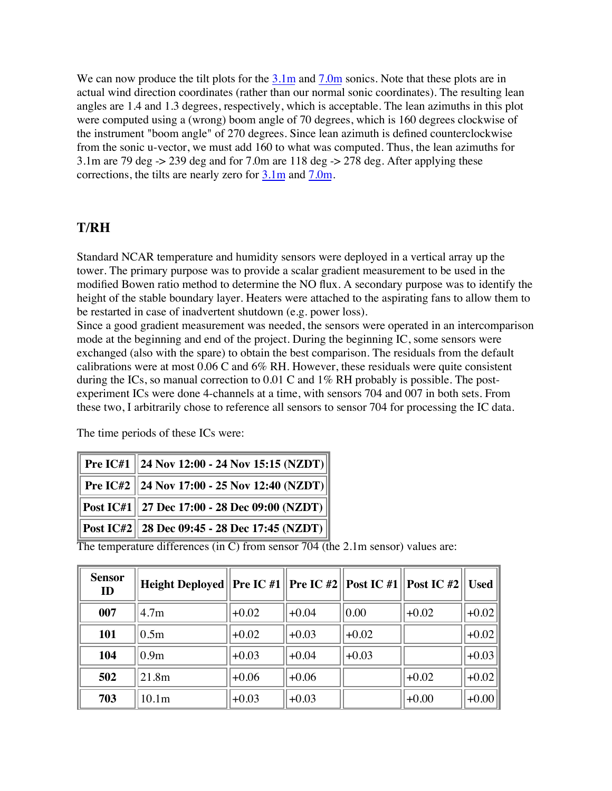We can now produce the tilt plots for the  $3.1\text{m}$  and  $7.0\text{m}$  sonics. Note that these plots are in actual wind direction coordinates (rather than our normal sonic coordinates). The resulting lean angles are 1.4 and 1.3 degrees, respectively, which is acceptable. The lean azimuths in this plot were computed using a (wrong) boom angle of 70 degrees, which is 160 degrees clockwise of the instrument "boom angle" of 270 degrees. Since lean azimuth is defined counterclockwise from the sonic u-vector, we must add 160 to what was computed. Thus, the lean azimuths for 3.1m are 79 deg  $\rightarrow$  239 deg and for 7.0m are 118 deg  $\rightarrow$  278 deg. After applying these corrections, the tilts are nearly zero for [3.1m](https://www.eol.ucar.edu/isf/projects/iscat2000/plots/tilt3.1c.gif) and [7.0m.](https://www.eol.ucar.edu/isf/projects/iscat2000/plots/tilt7.0c.gif)

#### **T/RH**

Standard NCAR temperature and humidity sensors were deployed in a vertical array up the tower. The primary purpose was to provide a scalar gradient measurement to be used in the modified Bowen ratio method to determine the NO flux. A secondary purpose was to identify the height of the stable boundary layer. Heaters were attached to the aspirating fans to allow them to be restarted in case of inadvertent shutdown (e.g. power loss).

Since a good gradient measurement was needed, the sensors were operated in an intercomparison mode at the beginning and end of the project. During the beginning IC, some sensors were exchanged (also with the spare) to obtain the best comparison. The residuals from the default calibrations were at most 0.06 C and 6% RH. However, these residuals were quite consistent during the ICs, so manual correction to 0.01 C and 1% RH probably is possible. The postexperiment ICs were done 4-channels at a time, with sensors 704 and 007 in both sets. From these two, I arbitrarily chose to reference all sensors to sensor 704 for processing the IC data.

The time periods of these ICs were:

| $\parallel$ Pre IC#1 $\parallel$ 24 Nov 12:00 - 24 Nov 15:15 (NZDT) $\parallel$  |
|----------------------------------------------------------------------------------|
| $\parallel$ Pre IC#2 $\parallel$ 24 Nov 17:00 - 25 Nov 12:40 (NZDT) $\parallel$  |
| $\parallel$ Post IC#1 $\parallel$ 27 Dec 17:00 - 28 Dec 09:00 (NZDT) $\parallel$ |
| $\ $ Post IC#2 $\ $ 28 Dec 09:45 - 28 Dec 17:45 (NZDT) $\ $                      |

The temperature differences (in C) from sensor 704 (the 2.1m sensor) values are:

| <b>Sensor</b><br>ID | Height Deployed    Pre IC #1    Pre IC #2    Post IC #1    Post IC #2    Used |         |         |         |         |                     |
|---------------------|-------------------------------------------------------------------------------|---------|---------|---------|---------|---------------------|
| 007                 | 4.7 <sub>m</sub>                                                              | $+0.02$ | $+0.04$ | 0.00    | $+0.02$ | $+0.02$             |
| 101                 | 0.5 <sub>m</sub>                                                              | $+0.02$ | $+0.03$ | $+0.02$ |         | $+0.02$ $\parallel$ |
| 104                 | 0.9 <sub>m</sub>                                                              | $+0.03$ | $+0.04$ | $+0.03$ |         | $+0.03$             |
| 502                 | 21.8m                                                                         | $+0.06$ | $+0.06$ |         | $+0.02$ | $+0.02$             |
| 703                 | 10.1 <sub>m</sub>                                                             | $+0.03$ | $+0.03$ |         | $+0.00$ | $+0.00$             |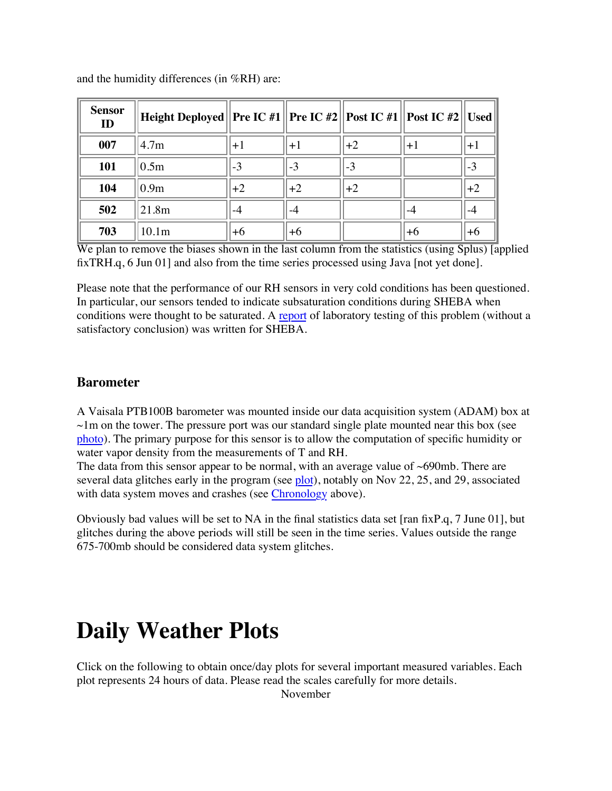| <b>Sensor</b><br><b>ID</b> | Height Deployed  Pre IC #1   Pre IC #2   Post IC #1   Post IC #2   Used |      |       |        |      |      |
|----------------------------|-------------------------------------------------------------------------|------|-------|--------|------|------|
| 007                        | 14.7 <sub>m</sub>                                                       | $+1$ | l+1   | $+2$   | $+1$ | $+1$ |
| 101                        | 0.5m                                                                    | $-3$ | $-3$  | $-3$   |      | $-3$ |
| 104                        | 0.9 <sub>m</sub>                                                        | $+2$ | $+2$  | $ +2 $ |      | $+2$ |
| 502                        | 21.8m                                                                   |      | -4    |        |      |      |
| 703                        | 10.1 <sub>m</sub>                                                       | $+6$ | $ +6$ |        | ∣+6  | $+6$ |

and the humidity differences (in %RH) are:

We plan to remove the biases shown in the last column from the statistics (using Splus) [applied] fixTRH.q, 6 Jun 01] and also from the time series processed using Java [not yet done].

Please note that the performance of our RH sensors in very cold conditions has been questioned. In particular, our sensors tended to indicate subsaturation conditions during SHEBA when conditions were thought to be saturated. A [report](http://www.atd.ucar.edu/rtf/projects/sheba/rh.lo.T.isff.html#RH%20at%20Low%20T) of laboratory testing of this problem (without a satisfactory conclusion) was written for SHEBA.

#### **Barometer**

A Vaisala PTB100B barometer was mounted inside our data acquisition system (ADAM) box at  $\sim$ 1m on the tower. The pressure port was our standard single plate mounted near this box (see [photo\)](https://www.eol.ucar.edu/isf/projects/iscat2000/photos/iscat/adam.jpg). The primary purpose for this sensor is to allow the computation of specific humidity or water vapor density from the measurements of T and RH.

The data from this sensor appear to be normal, with an average value of  $\sim 690 \text{mb}$ . There are several data glitches early in the program (see [plot\)](https://www.eol.ucar.edu/isf/projects/iscat2000/plots/baro.gif), notably on Nov 22, 25, and 29, associated with data system moves and crashes (see [Chronology](https://www.eol.ucar.edu/isf/projects/iscat2000/report.shtml#Chronology) above).

Obviously bad values will be set to NA in the final statistics data set [ran fixP.q, 7 June 01], but glitches during the above periods will still be seen in the time series. Values outside the range 675-700mb should be considered data system glitches.

#### **Daily Weather Plots**

Click on the following to obtain once/day plots for several important measured variables. Each plot represents 24 hours of data. Please read the scales carefully for more details.

November